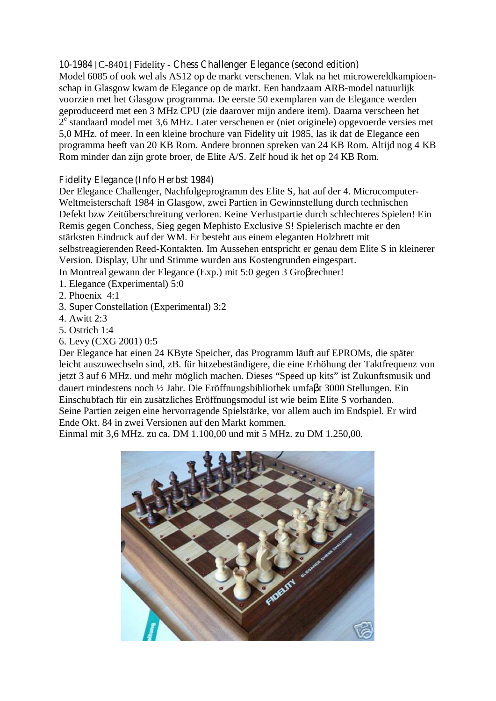# 10-1984 [C-8401] Fidelity - Chess Challenger Elegance (second edition)

Model 6085 of ook wel als AS12 op de markt verschenen. Vlak na het microwereldkampioenschap in Glasgow kwam de Elegance op de markt. Een handzaam ARB-model natuurlijk voorzien met het Glasgow programma. De eerste 50 exemplaren van de Elegance werden geproduceerd met een 3 MHz CPU (zie daarover mijn andere item). Daarna verscheen het 2<sup>e</sup> standaard model met 3,6 MHz. Later verschenen er (niet originele) opgevoerde versies met 5,0 MHz. of meer. In een kleine brochure van Fidelity uit 1985, las ik dat de Elegance een programma heeft van 20 KB Rom. Andere bronnen spreken van 24 KB Rom. Altijd nog 4 KB Rom minder dan zijn grote broer, de Elite A/S. Zelf houd ik het op 24 KB Rom.

# Fidelity Elegance (Info Herbst 1984)

Der Elegance Challenger, Nachfolgeprogramm des Elite S, hat auf der 4. Microcomputer-Weltmeisterschaft 1984 in Glasgow, zwei Partien in Gewinnstellung durch technischen Defekt bzw Zeitüberschreitung verloren. Keine Verlustpartie durch schlechteres Spielen! Ein Remis gegen Conchess, Sieg gegen Mephisto Exclusive S! Spielerisch machte er den stärksten Eindruck auf der WM. Er besteht aus einem eleganten Holzbrett mit selbstreagierenden Reed-Kontakten. Im Aussehen entspricht er genau dem Elite S in kleinerer Version. Display, Uhr und Stimme wurden aus Kostengrunden eingespart. In Montreal gewann der Elegance (Exp.) mit 5:0 gegen 3 Groβrechner!

- 1. Elegance (Experimental) 5:0
- 2. Phoenix 4:1
- 3. Super Constellation (Experimental) 3:2
- 4. Awitt 2:3
- 5. Ostrich 1:4
- 6. Levy (CXG 2001) 0:5

Der Elegance hat einen 24 KByte Speicher, das Programm läuft auf EPROMs, die später leicht auszuwechseln sind, zB. für hitzebeständigere, die eine Erhöhung der Taktfrequenz von jetzt 3 auf 6 MHz. und mehr möglich machen. Dieses "Speed up kits" ist Zukunftsmusik und dauert rnindestens noch ½ Jahr. Die Eröffnungsbibliothek umfaβt 3000 Stellungen. Ein Einschubfach für ein zusätzliches Eröffnungsmodul ist wie beim Elite S vorhanden. Seine Partien zeigen eine hervorragende Spielstärke, vor allem auch im Endspiel. Er wird Ende Okt. 84 in zwei Versionen auf den Markt kommen.

Einmal mit 3,6 MHz. zu ca. DM 1.100,00 und mit 5 MHz. zu DM 1.250,00.

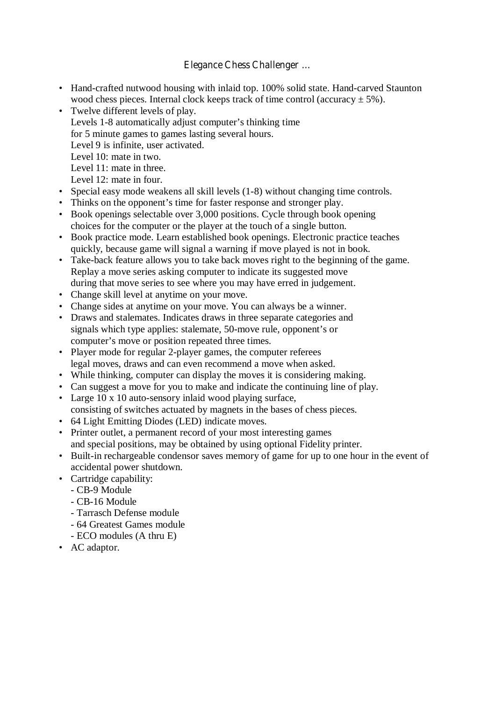# Elegance Chess Challenger …

- Hand-crafted nutwood housing with inlaid top. 100% solid state. Hand-carved Staunton wood chess pieces. Internal clock keeps track of time control (accuracy  $\pm$  5%).
- Twelve different levels of play. Levels 1-8 automatically adjust computer's thinking time for 5 minute games to games lasting several hours. Level 9 is infinite, user activated. Level 10: mate in two. Level 11: mate in three. Level 12: mate in four.
- Special easy mode weakens all skill levels (1-8) without changing time controls.
- Thinks on the opponent's time for faster response and stronger play.
- Book openings selectable over 3,000 positions. Cycle through book opening choices for the computer or the player at the touch of a single button.
- Book practice mode. Learn established book openings. Electronic practice teaches quickly, because game will signal a warning if move played is not in book.
- Take-back feature allows you to take back moves right to the beginning of the game. Replay a move series asking computer to indicate its suggested move during that move series to see where you may have erred in judgement.
- Change skill level at anytime on your move.
- Change sides at anytime on your move. You can always be a winner.
- Draws and stalemates. Indicates draws in three separate categories and signals which type applies: stalemate, 50-move rule, opponent's or computer's move or position repeated three times.
- Player mode for regular 2-player games, the computer referees legal moves, draws and can even recommend a move when asked.
- While thinking, computer can display the moves it is considering making.
- Can suggest a move for you to make and indicate the continuing line of play.
- Large 10 x 10 auto-sensory inlaid wood playing surface, consisting of switches actuated by magnets in the bases of chess pieces.
- 64 Light Emitting Diodes (LED) indicate moves.
- Printer outlet, a permanent record of your most interesting games and special positions, may be obtained by using optional Fidelity printer.
- Built-in rechargeable condensor saves memory of game for up to one hour in the event of accidental power shutdown.
- Cartridge capability:
	- CB-9 Module
	- CB-16 Module
	- Tarrasch Defense module
	- 64 Greatest Games module
	- ECO modules (A thru E)
- AC adaptor.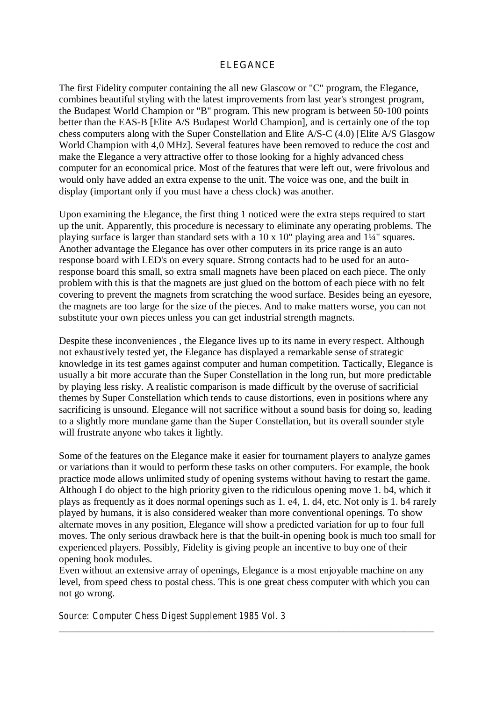#### ELEGANCE

The first Fidelity computer containing the all new Glascow or "C" program, the Elegance, combines beautiful styling with the latest improvements from last year's strongest program, the Budapest World Champion or "B" program. This new program is between 50-100 points better than the EAS-B [Elite A/S Budapest World Champion], and is certainly one of the top chess computers along with the Super Constellation and Elite A/S-C (4.0) [Elite A/S Glasgow World Champion with 4,0 MHz]. Several features have been removed to reduce the cost and make the Elegance a very attractive offer to those looking for a highly advanced chess computer for an economical price. Most of the features that were left out, were frivolous and would only have added an extra expense to the unit. The voice was one, and the built in display (important only if you must have a chess clock) was another.

Upon examining the Elegance, the first thing 1 noticed were the extra steps required to start up the unit. Apparently, this procedure is necessary to eliminate any operating problems. The playing surface is larger than standard sets with a 10 x 10" playing area and 1¼" squares. Another advantage the Elegance has over other computers in its price range is an auto response board with LED's on every square. Strong contacts had to be used for an autoresponse board this small, so extra small magnets have been placed on each piece. The only problem with this is that the magnets are just glued on the bottom of each piece with no felt covering to prevent the magnets from scratching the wood surface. Besides being an eyesore, the magnets are too large for the size of the pieces. And to make matters worse, you can not substitute your own pieces unless you can get industrial strength magnets.

Despite these inconveniences , the Elegance lives up to its name in every respect. Although not exhaustively tested yet, the Elegance has displayed a remarkable sense of strategic knowledge in its test games against computer and human competition. Tactically, Elegance is usually a bit more accurate than the Super Constellation in the long run, but more predictable by playing less risky. A realistic comparison is made difficult by the overuse of sacrificial themes by Super Constellation which tends to cause distortions, even in positions where any sacrificing is unsound. Elegance will not sacrifice without a sound basis for doing so, leading to a slightly more mundane game than the Super Constellation, but its overall sounder style will frustrate anyone who takes it lightly.

Some of the features on the Elegance make it easier for tournament players to analyze games or variations than it would to perform these tasks on other computers. For example, the book practice mode allows unlimited study of opening systems without having to restart the game. Although I do object to the high priority given to the ridiculous opening move 1. b4, which it plays as frequently as it does normal openings such as 1. e4, 1. d4, etc. Not only is 1. b4 rarely played by humans, it is also considered weaker than more conventional openings. To show alternate moves in any position, Elegance will show a predicted variation for up to four full moves. The only serious drawback here is that the built-in opening book is much too small for experienced players. Possibly, Fidelity is giving people an incentive to buy one of their opening book modules.

Even without an extensive array of openings, Elegance is a most enjoyable machine on any level, from speed chess to postal chess. This is one great chess computer with which you can not go wrong.

\_\_\_\_\_\_\_\_\_\_\_\_\_\_\_\_\_\_\_\_\_\_\_\_\_\_\_\_\_\_\_\_\_\_\_\_\_\_\_\_\_\_\_\_\_\_\_\_\_\_\_\_\_\_\_\_\_\_\_\_\_\_\_\_\_\_\_\_\_\_\_\_\_\_\_

*Source: Computer Chess Digest Supplement 1985 Vol. 3*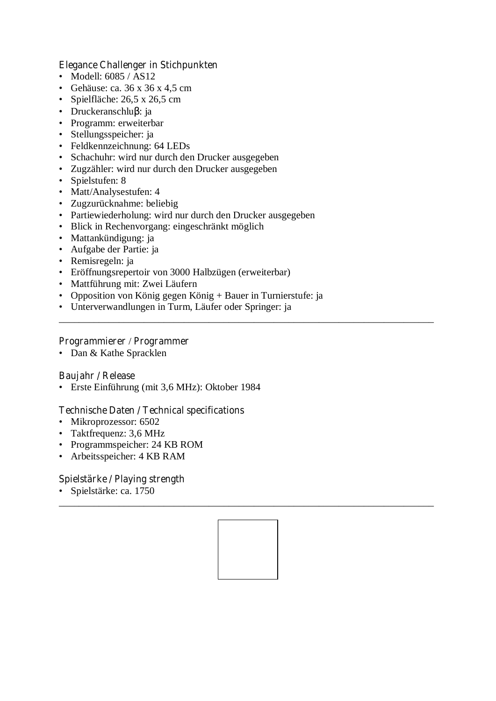## Elegance Challenger in Stichpunkten

- Modell: 6085 / AS12
- Gehäuse: ca.  $36 \times 36 \times 4.5$  cm
- Spielfläche: 26,5 x 26,5 cm
- Druckeranschluβ: ja
- Programm: erweiterbar
- Stellungsspeicher: ja
- Feldkennzeichnung: 64 LEDs
- Schachuhr: wird nur durch den Drucker ausgegeben
- Zugzähler: wird nur durch den Drucker ausgegeben
- Spielstufen: 8
- Matt/Analysestufen: 4
- Zugzurücknahme: beliebig
- Partiewiederholung: wird nur durch den Drucker ausgegeben
- Blick in Rechenvorgang: eingeschränkt möglich
- Mattankündigung: ja
- Aufgabe der Partie: ja
- Remisregeln: ja
- Eröffnungsrepertoir von 3000 Halbzügen (erweiterbar)
- Mattführung mit: Zwei Läufern
- Opposition von König gegen König + Bauer in Turnierstufe: ja
- Unterverwandlungen in Turm, Läufer oder Springer: ja

#### Programmierer / Programmer

• Dan & Kathe Spracklen

### Baujahr / Release

• Erste Einführung (mit 3,6 MHz): Oktober 1984

### Technische Daten / Technical specifications

- Mikroprozessor: 6502
- Taktfrequenz: 3,6 MHz
- Programmspeicher: 24 KB ROM
- Arbeitsspeicher: 4 KB RAM

### Spielstärke / Playing strength

• Spielstärke: ca. 1750



\_\_\_\_\_\_\_\_\_\_\_\_\_\_\_\_\_\_\_\_\_\_\_\_\_\_\_\_\_\_\_\_\_\_\_\_\_\_\_\_\_\_\_\_\_\_\_\_\_\_\_\_\_\_\_\_\_\_\_\_\_\_\_\_\_\_\_\_\_\_\_\_\_\_\_

\_\_\_\_\_\_\_\_\_\_\_\_\_\_\_\_\_\_\_\_\_\_\_\_\_\_\_\_\_\_\_\_\_\_\_\_\_\_\_\_\_\_\_\_\_\_\_\_\_\_\_\_\_\_\_\_\_\_\_\_\_\_\_\_\_\_\_\_\_\_\_\_\_\_\_